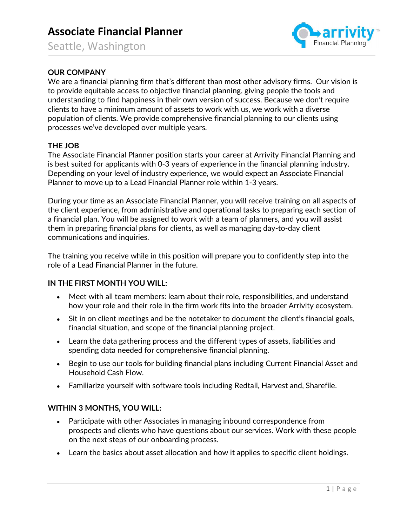# Associate Financial Planner

Seattle, Washington



# OUR COMPANY

We are a financial planning firm that's different than most other advisory firms. Our vision is to provide equitable access to objective financial planning, giving people the tools and understanding to find happiness in their own version of success. Because we don't require clients to have a minimum amount of assets to work with us, we work with a diverse population of clients. We provide comprehensive financial planning to our clients using processes we've developed over multiple years.

## THE JOB

The Associate Financial Planner position starts your career at Arrivity Financial Planning and is best suited for applicants with 0-3 years of experience in the financial planning industry. Depending on your level of industry experience, we would expect an Associate Financial Planner to move up to a Lead Financial Planner role within 1-3 years.

During your time as an Associate Financial Planner, you will receive training on all aspects of the client experience, from administrative and operational tasks to preparing each section of a financial plan. You will be assigned to work with a team of planners, and you will assist them in preparing financial plans for clients, as well as managing day-to-day client communications and inquiries.

The training you receive while in this position will prepare you to confidently step into the role of a Lead Financial Planner in the future.

## IN THE FIRST MONTH YOU WILL:

- Meet with all team members: learn about their role, responsibilities, and understand  $\bullet$ how your role and their role in the firm work fits into the broader Arrivity ecosystem.
- Sit in on client meetings and be the notetaker to document the client's financial goals, financial situation, and scope of the financial planning project.
- Learn the data gathering process and the different types of assets, liabilities and spending data needed for comprehensive financial planning.
- Begin to use our tools for building financial plans including Current Financial Asset and Household Cash Flow.
- Familiarize yourself with software tools including Redtail, Harvest and, Sharefile.

# WITHIN 3 MONTHS, YOU WILL:

- Participate with other Associates in managing inbound correspondence from  $\bullet$ prospects and clients who have questions about our services. Work with these people on the next steps of our onboarding process.
- Learn the basics about asset allocation and how it applies to specific client holdings.